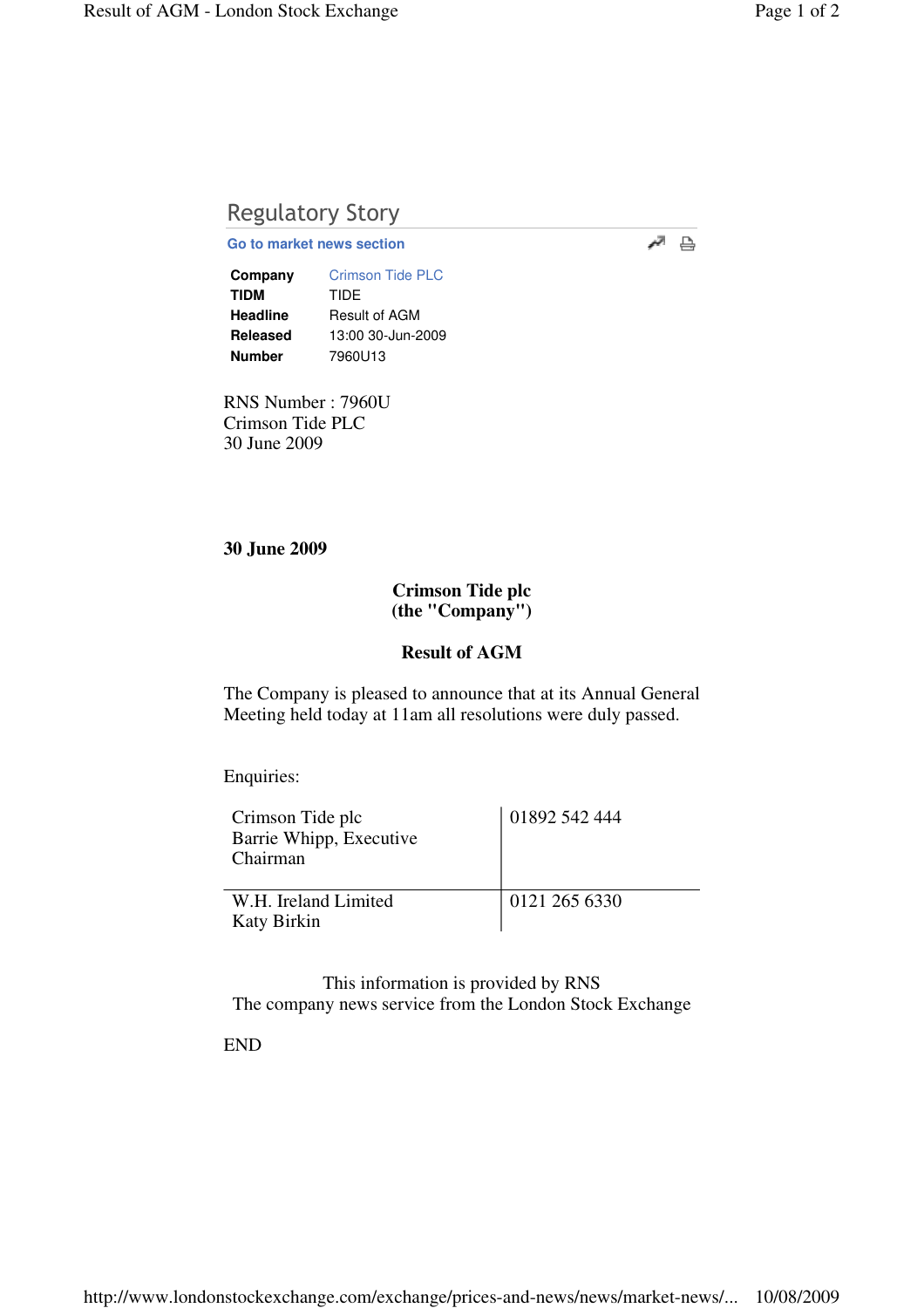# Regulatory Story

**Go to market news section**

**Company** Crimson Tide PLC **TIDM** TIDE **Headline** Result of AGM **Released** 13:00 30-Jun-2009 **Number** 7960U13

RNS Number : 7960U Crimson Tide PLC 30 June 2009

#### **30 June 2009**

## **Crimson Tide plc (the "Company")**

### **Result of AGM**

The Company is pleased to announce that at its Annual General Meeting held today at 11am all resolutions were duly passed.

Enquiries:

| Crimson Tide plc<br>Barrie Whipp, Executive<br>Chairman | 01892 542 444 |
|---------------------------------------------------------|---------------|
| W.H. Ireland Limited<br><b>Katy Birkin</b>              | 0121 265 6330 |

This information is provided by RNS The company news service from the London Stock Exchange

END

 $\overline{a}$